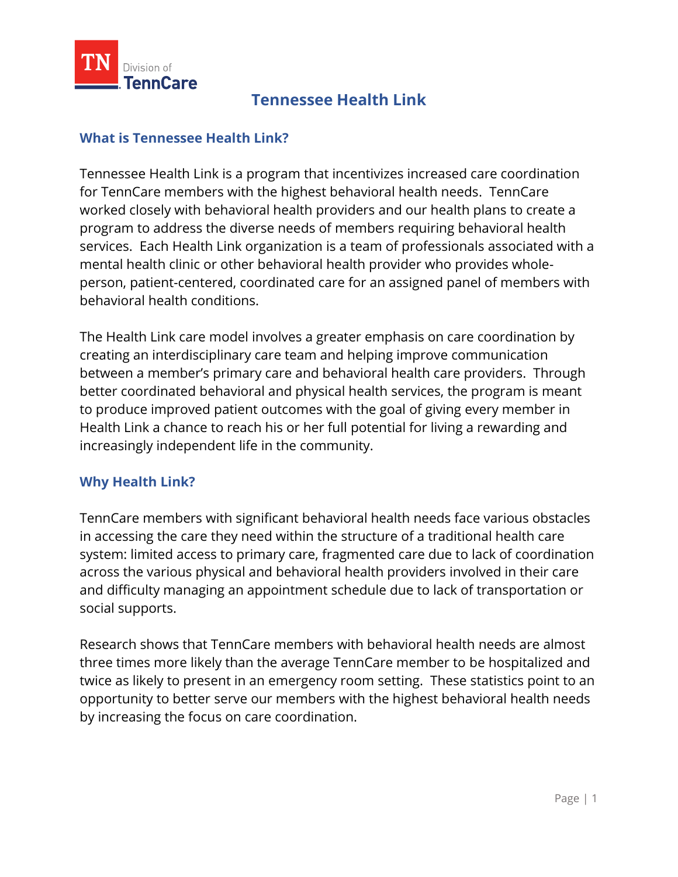

## **Tennessee Health Link**

## **What is Tennessee Health Link?**

Tennessee Health Link is a program that incentivizes increased care coordination for TennCare members with the highest behavioral health needs. TennCare worked closely with behavioral health providers and our health plans to create a program to address the diverse needs of members requiring behavioral health services. Each Health Link organization is a team of professionals associated with a mental health clinic or other behavioral health provider who provides wholeperson, patient-centered, coordinated care for an assigned panel of members with behavioral health conditions.

The Health Link care model involves a greater emphasis on care coordination by creating an interdisciplinary care team and helping improve communication between a member's primary care and behavioral health care providers. Through better coordinated behavioral and physical health services, the program is meant to produce improved patient outcomes with the goal of giving every member in Health Link a chance to reach his or her full potential for living a rewarding and increasingly independent life in the community.

## **Why Health Link?**

TennCare members with significant behavioral health needs face various obstacles in accessing the care they need within the structure of a traditional health care system: limited access to primary care, fragmented care due to lack of coordination across the various physical and behavioral health providers involved in their care and difficulty managing an appointment schedule due to lack of transportation or social supports.

Research shows that TennCare members with behavioral health needs are almost three times more likely than the average TennCare member to be hospitalized and twice as likely to present in an emergency room setting. These statistics point to an opportunity to better serve our members with the highest behavioral health needs by increasing the focus on care coordination.